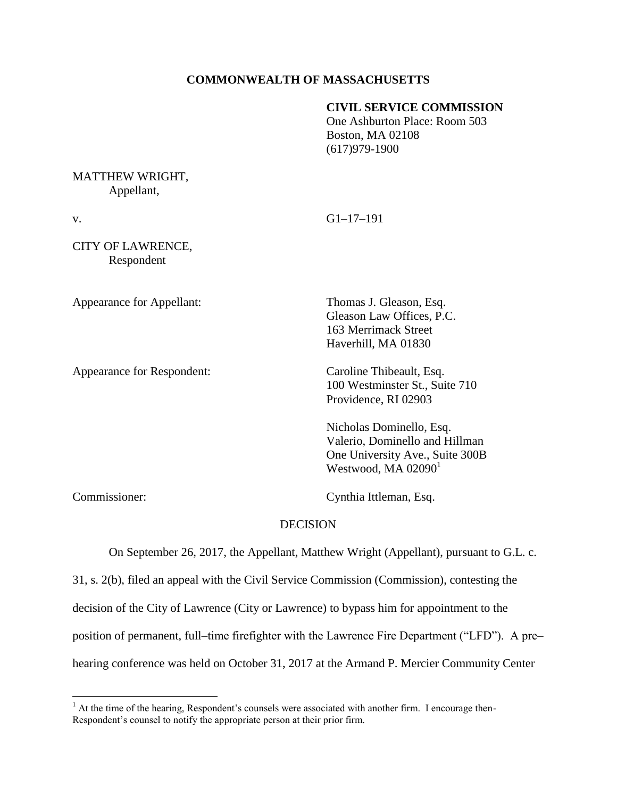# **COMMONWEALTH OF MASSACHUSETTS**

#### **CIVIL SERVICE COMMISSION**

One Ashburton Place: Room 503 Boston, MA 02108 (617)979-1900

## MATTHEW WRIGHT, Appellant,

CITY OF LAWRENCE, Respondent

Appearance for Appellant: Thomas J. Gleason, Esq.

Appearance for Respondent: Caroline Thibeault, Esq.

v. G1–17–191

Gleason Law Offices, P.C. 163 Merrimack Street Haverhill, MA 01830

100 Westminster St., Suite 710 Providence, RI 02903

Nicholas Dominello, Esq. Valerio, Dominello and Hillman One University Ave., Suite 300B Westwood, MA  $02090<sup>1</sup>$ 

 $\overline{a}$ 

Commissioner: Cynthia Ittleman, Esq.

# **DECISION**

On September 26, 2017, the Appellant, Matthew Wright (Appellant), pursuant to G.L. c.

31, s. 2(b), filed an appeal with the Civil Service Commission (Commission), contesting the decision of the City of Lawrence (City or Lawrence) to bypass him for appointment to the position of permanent, full–time firefighter with the Lawrence Fire Department ("LFD"). A pre– hearing conference was held on October 31, 2017 at the Armand P. Mercier Community Center

<sup>&</sup>lt;sup>1</sup> At the time of the hearing, Respondent's counsels were associated with another firm. I encourage then-Respondent's counsel to notify the appropriate person at their prior firm.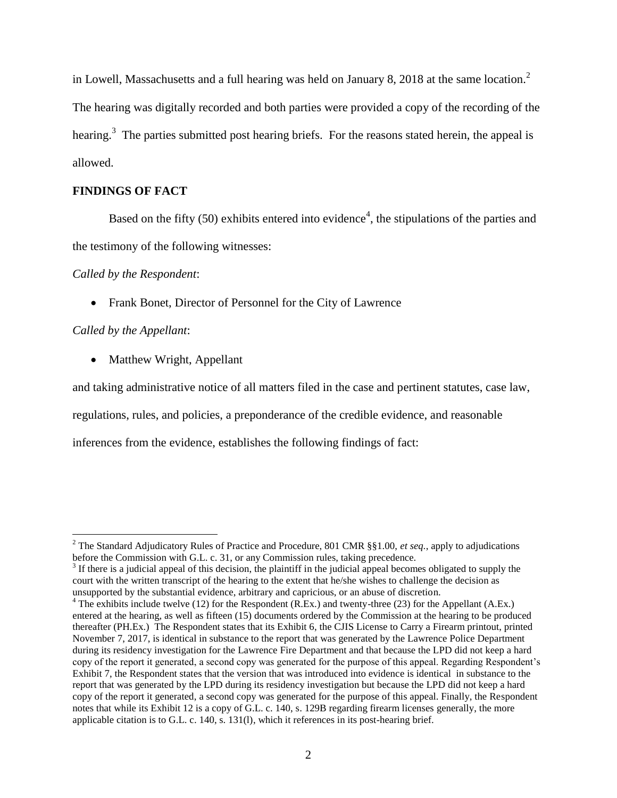in Lowell, Massachusetts and a full hearing was held on January 8, 2018 at the same location.<sup>2</sup> The hearing was digitally recorded and both parties were provided a copy of the recording of the hearing.<sup>3</sup> The parties submitted post hearing briefs. For the reasons stated herein, the appeal is allowed.

# **FINDINGS OF FACT**

Based on the fifty (50) exhibits entered into evidence<sup>4</sup>, the stipulations of the parties and the testimony of the following witnesses:

*Called by the Respondent*:

• Frank Bonet, Director of Personnel for the City of Lawrence

*Called by the Appellant*:

 $\overline{a}$ 

• Matthew Wright, Appellant

and taking administrative notice of all matters filed in the case and pertinent statutes, case law,

regulations, rules, and policies, a preponderance of the credible evidence, and reasonable

inferences from the evidence, establishes the following findings of fact:

<sup>2</sup> The Standard Adjudicatory Rules of Practice and Procedure, 801 CMR §§1.00, *et seq.*, apply to adjudications before the Commission with G.L. c. 31, or any Commission rules, taking precedence.

 $3$  If there is a judicial appeal of this decision, the plaintiff in the judicial appeal becomes obligated to supply the court with the written transcript of the hearing to the extent that he/she wishes to challenge the decision as unsupported by the substantial evidence, arbitrary and capricious, or an abuse of discretion.

 $4$  The exhibits include twelve (12) for the Respondent (R.Ex.) and twenty-three (23) for the Appellant (A.Ex.) entered at the hearing, as well as fifteen (15) documents ordered by the Commission at the hearing to be produced thereafter (PH.Ex.) The Respondent states that its Exhibit 6, the CJIS License to Carry a Firearm printout, printed November 7, 2017, is identical in substance to the report that was generated by the Lawrence Police Department during its residency investigation for the Lawrence Fire Department and that because the LPD did not keep a hard copy of the report it generated, a second copy was generated for the purpose of this appeal. Regarding Respondent's Exhibit 7, the Respondent states that the version that was introduced into evidence is identical in substance to the report that was generated by the LPD during its residency investigation but because the LPD did not keep a hard copy of the report it generated, a second copy was generated for the purpose of this appeal. Finally, the Respondent notes that while its Exhibit 12 is a copy of G.L. c. 140, s. 129B regarding firearm licenses generally, the more applicable citation is to G.L. c. 140, s. 131(l), which it references in its post-hearing brief.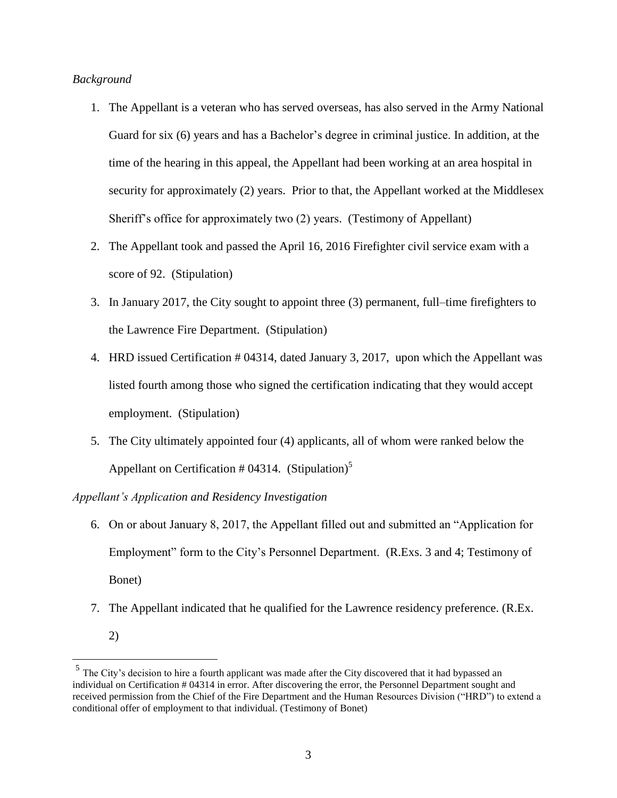#### *Background*

- 1. The Appellant is a veteran who has served overseas, has also served in the Army National Guard for six (6) years and has a Bachelor's degree in criminal justice. In addition, at the time of the hearing in this appeal, the Appellant had been working at an area hospital in security for approximately (2) years. Prior to that, the Appellant worked at the Middlesex Sheriff's office for approximately two (2) years. (Testimony of Appellant)
- 2. The Appellant took and passed the April 16, 2016 Firefighter civil service exam with a score of 92. (Stipulation)
- 3. In January 2017, the City sought to appoint three (3) permanent, full–time firefighters to the Lawrence Fire Department. (Stipulation)
- 4. HRD issued Certification # 04314, dated January 3, 2017, upon which the Appellant was listed fourth among those who signed the certification indicating that they would accept employment. (Stipulation)
- 5. The City ultimately appointed four (4) applicants, all of whom were ranked below the Appellant on Certification  $#04314.$  (Stipulation)<sup>5</sup>

### *Appellant's Application and Residency Investigation*

- 6. On or about January 8, 2017, the Appellant filled out and submitted an "Application for Employment" form to the City's Personnel Department. (R.Exs. 3 and 4; Testimony of Bonet)
- 7. The Appellant indicated that he qualified for the Lawrence residency preference. (R.Ex.
	- 2)

<sup>&</sup>lt;sup>5</sup> The City's decision to hire a fourth applicant was made after the City discovered that it had bypassed an individual on Certification # 04314 in error. After discovering the error, the Personnel Department sought and received permission from the Chief of the Fire Department and the Human Resources Division ("HRD") to extend a conditional offer of employment to that individual. (Testimony of Bonet)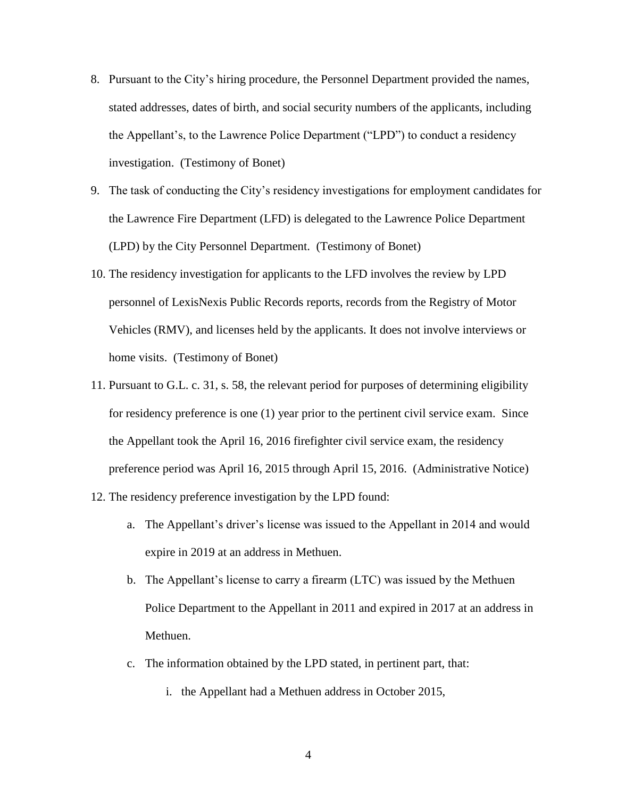- 8. Pursuant to the City's hiring procedure, the Personnel Department provided the names, stated addresses, dates of birth, and social security numbers of the applicants, including the Appellant's, to the Lawrence Police Department ("LPD") to conduct a residency investigation. (Testimony of Bonet)
- 9. The task of conducting the City's residency investigations for employment candidates for the Lawrence Fire Department (LFD) is delegated to the Lawrence Police Department (LPD) by the City Personnel Department. (Testimony of Bonet)
- 10. The residency investigation for applicants to the LFD involves the review by LPD personnel of LexisNexis Public Records reports, records from the Registry of Motor Vehicles (RMV), and licenses held by the applicants. It does not involve interviews or home visits. (Testimony of Bonet)
- 11. Pursuant to G.L. c. 31, s. 58, the relevant period for purposes of determining eligibility for residency preference is one (1) year prior to the pertinent civil service exam. Since the Appellant took the April 16, 2016 firefighter civil service exam, the residency preference period was April 16, 2015 through April 15, 2016. (Administrative Notice)
- 12. The residency preference investigation by the LPD found:
	- a. The Appellant's driver's license was issued to the Appellant in 2014 and would expire in 2019 at an address in Methuen.
	- b. The Appellant's license to carry a firearm (LTC) was issued by the Methuen Police Department to the Appellant in 2011 and expired in 2017 at an address in Methuen.
	- c. The information obtained by the LPD stated, in pertinent part, that:
		- i. the Appellant had a Methuen address in October 2015,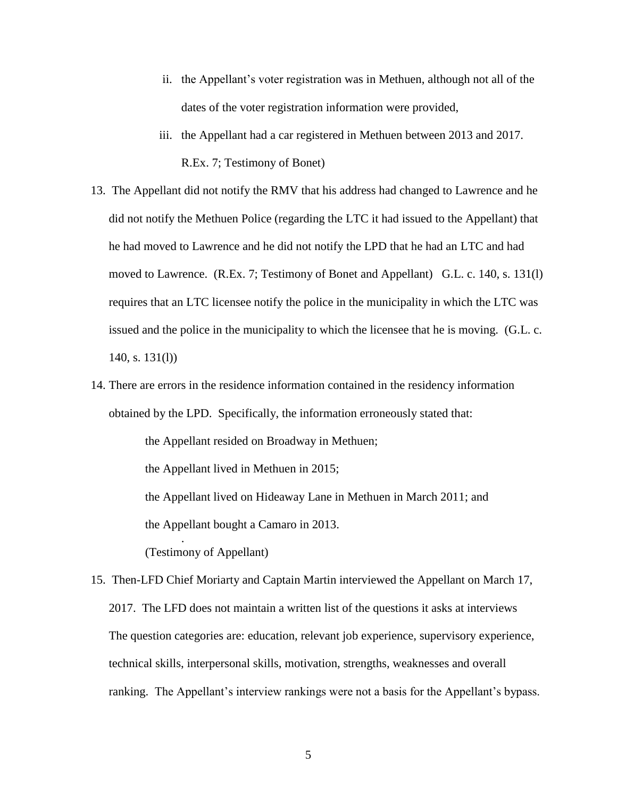- ii. the Appellant's voter registration was in Methuen, although not all of the dates of the voter registration information were provided,
- iii. the Appellant had a car registered in Methuen between 2013 and 2017. R.Ex. 7; Testimony of Bonet)
- 13. The Appellant did not notify the RMV that his address had changed to Lawrence and he did not notify the Methuen Police (regarding the LTC it had issued to the Appellant) that he had moved to Lawrence and he did not notify the LPD that he had an LTC and had moved to Lawrence. (R.Ex. 7; Testimony of Bonet and Appellant) G.L. c. 140, s. 131(l) requires that an LTC licensee notify the police in the municipality in which the LTC was issued and the police in the municipality to which the licensee that he is moving. (G.L. c. 140, s. 131(l))
- 14. There are errors in the residence information contained in the residency information obtained by the LPD. Specifically, the information erroneously stated that:

the Appellant resided on Broadway in Methuen; the Appellant lived in Methuen in 2015; the Appellant lived on Hideaway Lane in Methuen in March 2011; and the Appellant bought a Camaro in 2013. . (Testimony of Appellant)

15. Then-LFD Chief Moriarty and Captain Martin interviewed the Appellant on March 17, 2017. The LFD does not maintain a written list of the questions it asks at interviews The question categories are: education, relevant job experience, supervisory experience, technical skills, interpersonal skills, motivation, strengths, weaknesses and overall ranking. The Appellant's interview rankings were not a basis for the Appellant's bypass.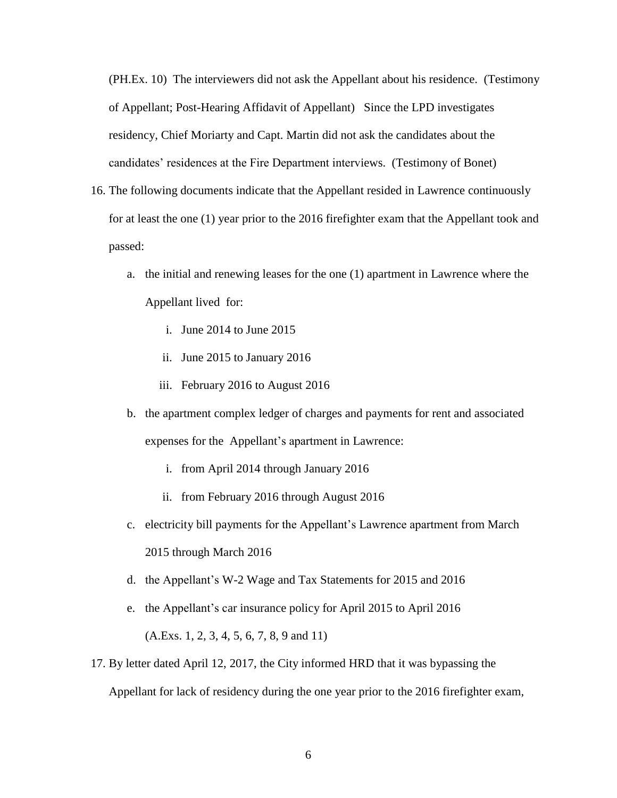(PH.Ex. 10) The interviewers did not ask the Appellant about his residence. (Testimony of Appellant; Post-Hearing Affidavit of Appellant) Since the LPD investigates residency, Chief Moriarty and Capt. Martin did not ask the candidates about the candidates' residences at the Fire Department interviews. (Testimony of Bonet)

- 16. The following documents indicate that the Appellant resided in Lawrence continuously for at least the one (1) year prior to the 2016 firefighter exam that the Appellant took and passed:
	- a. the initial and renewing leases for the one (1) apartment in Lawrence where the Appellant lived for:
		- i. June 2014 to June 2015
		- ii. June 2015 to January 2016
		- iii. February 2016 to August 2016
	- b. the apartment complex ledger of charges and payments for rent and associated expenses for the Appellant's apartment in Lawrence:
		- i. from April 2014 through January 2016
		- ii. from February 2016 through August 2016
	- c. electricity bill payments for the Appellant's Lawrence apartment from March 2015 through March 2016
	- d. the Appellant's W-2 Wage and Tax Statements for 2015 and 2016
	- e. the Appellant's car insurance policy for April 2015 to April 2016 (A.Exs. 1, 2, 3, 4, 5, 6, 7, 8, 9 and 11)
- 17. By letter dated April 12, 2017, the City informed HRD that it was bypassing the Appellant for lack of residency during the one year prior to the 2016 firefighter exam,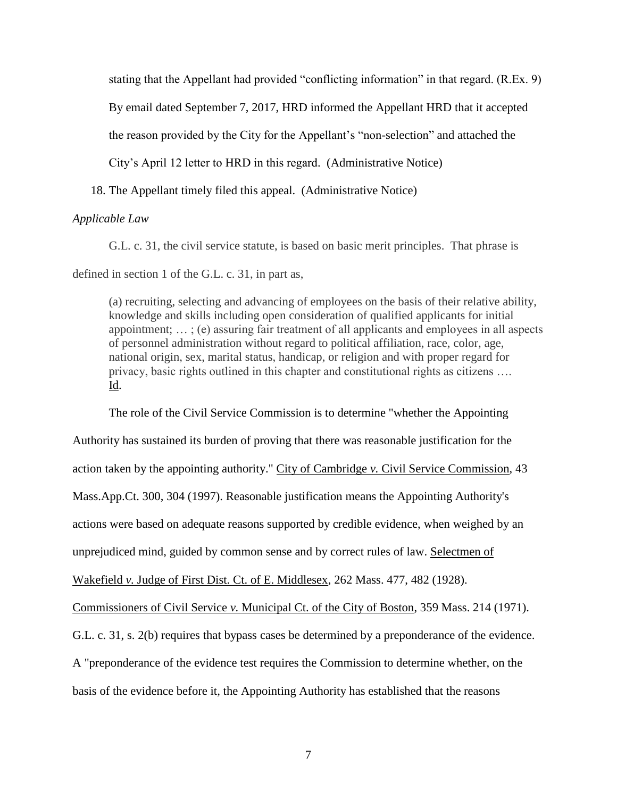stating that the Appellant had provided "conflicting information" in that regard. (R.Ex. 9)

By email dated September 7, 2017, HRD informed the Appellant HRD that it accepted

the reason provided by the City for the Appellant's "non-selection" and attached the

City's April 12 letter to HRD in this regard. (Administrative Notice)

18. The Appellant timely filed this appeal. (Administrative Notice)

### *Applicable Law*

G.L. c. 31, the civil service statute, is based on basic merit principles. That phrase is

defined in section 1 of the G.L. c. 31, in part as,

(a) recruiting, selecting and advancing of employees on the basis of their relative ability, knowledge and skills including open consideration of qualified applicants for initial appointment; … ; (e) assuring fair treatment of all applicants and employees in all aspects of personnel administration without regard to political affiliation, race, color, age, national origin, sex, marital status, handicap, or religion and with proper regard for privacy, basic rights outlined in this chapter and constitutional rights as citizens …. Id.

The role of the Civil Service Commission is to determine "whether the Appointing Authority has sustained its burden of proving that there was reasonable justification for the action taken by the appointing authority." City of Cambridge *v.* Civil Service Commission, 43 Mass.App.Ct. 300, 304 (1997). Reasonable justification means the Appointing Authority's actions were based on adequate reasons supported by credible evidence, when weighed by an unprejudiced mind, guided by common sense and by correct rules of law. Selectmen of Wakefield *v.* Judge of First Dist. Ct. of E. Middlesex, 262 Mass. 477, 482 (1928). Commissioners of Civil Service *v.* Municipal Ct. of the City of Boston, 359 Mass. 214 (1971). G.L. c. 31, s. 2(b) requires that bypass cases be determined by a preponderance of the evidence. A "preponderance of the evidence test requires the Commission to determine whether, on the basis of the evidence before it, the Appointing Authority has established that the reasons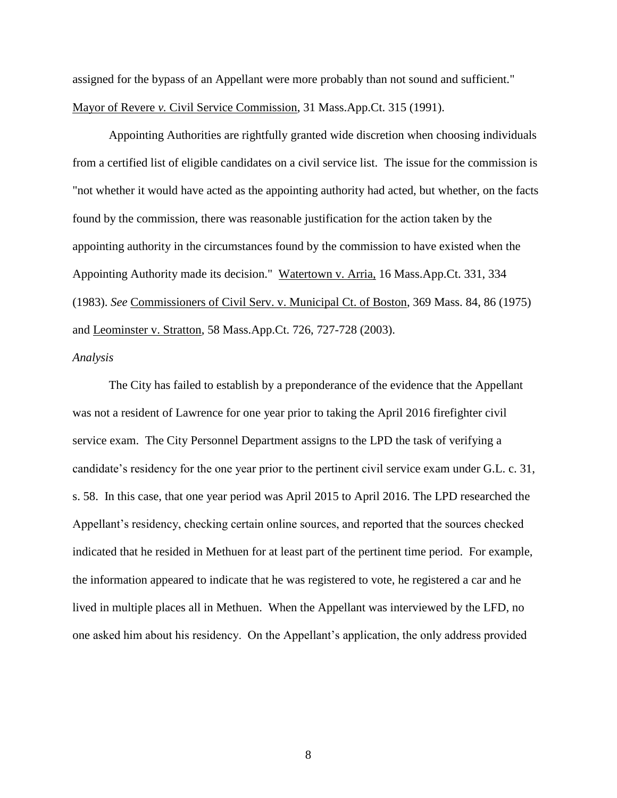assigned for the bypass of an Appellant were more probably than not sound and sufficient." Mayor of Revere *v.* Civil Service Commission, 31 Mass.App.Ct. 315 (1991).

 Appointing Authorities are rightfully granted wide discretion when choosing individuals from a certified list of eligible candidates on a civil service list. The issue for the commission is "not whether it would have acted as the appointing authority had acted, but whether, on the facts found by the commission, there was reasonable justification for the action taken by the appointing authority in the circumstances found by the commission to have existed when the Appointing Authority made its decision." Watertown v. Arria, 16 Mass.App.Ct. 331, 334 (1983). *See* Commissioners of Civil Serv. v. Municipal Ct. of Boston, 369 Mass. 84, 86 (1975) and Leominster v. Stratton, 58 Mass.App.Ct. 726, 727-728 (2003).

# *Analysis*

The City has failed to establish by a preponderance of the evidence that the Appellant was not a resident of Lawrence for one year prior to taking the April 2016 firefighter civil service exam. The City Personnel Department assigns to the LPD the task of verifying a candidate's residency for the one year prior to the pertinent civil service exam under G.L. c. 31, s. 58. In this case, that one year period was April 2015 to April 2016. The LPD researched the Appellant's residency, checking certain online sources, and reported that the sources checked indicated that he resided in Methuen for at least part of the pertinent time period. For example, the information appeared to indicate that he was registered to vote, he registered a car and he lived in multiple places all in Methuen. When the Appellant was interviewed by the LFD, no one asked him about his residency. On the Appellant's application, the only address provided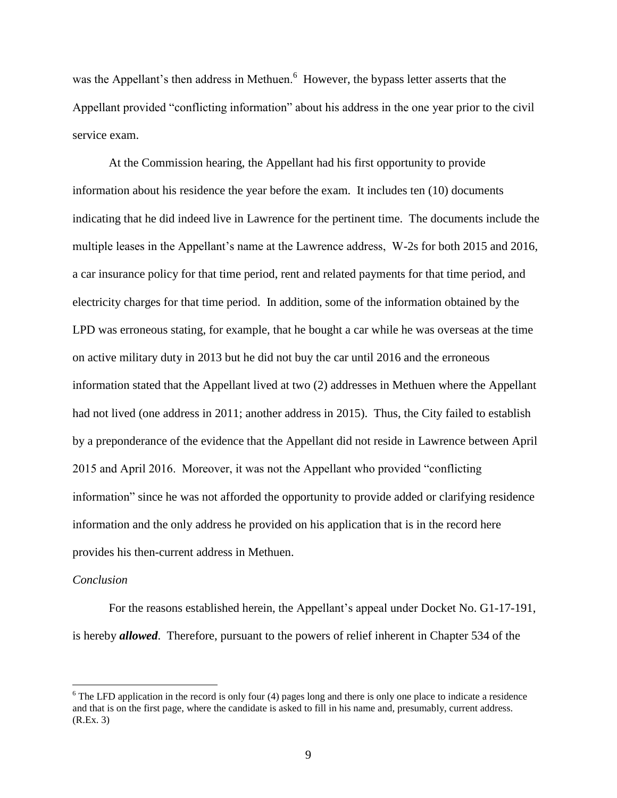was the Appellant's then address in Methuen.<sup>6</sup> However, the bypass letter asserts that the Appellant provided "conflicting information" about his address in the one year prior to the civil service exam.

At the Commission hearing, the Appellant had his first opportunity to provide information about his residence the year before the exam. It includes ten (10) documents indicating that he did indeed live in Lawrence for the pertinent time. The documents include the multiple leases in the Appellant's name at the Lawrence address, W-2s for both 2015 and 2016, a car insurance policy for that time period, rent and related payments for that time period, and electricity charges for that time period. In addition, some of the information obtained by the LPD was erroneous stating, for example, that he bought a car while he was overseas at the time on active military duty in 2013 but he did not buy the car until 2016 and the erroneous information stated that the Appellant lived at two (2) addresses in Methuen where the Appellant had not lived (one address in 2011; another address in 2015). Thus, the City failed to establish by a preponderance of the evidence that the Appellant did not reside in Lawrence between April 2015 and April 2016. Moreover, it was not the Appellant who provided "conflicting information" since he was not afforded the opportunity to provide added or clarifying residence information and the only address he provided on his application that is in the record here provides his then-current address in Methuen.

### *Conclusion*

 $\overline{a}$ 

For the reasons established herein, the Appellant's appeal under Docket No. G1-17-191, is hereby *allowed*. Therefore, pursuant to the powers of relief inherent in Chapter 534 of the

 $6$  The LFD application in the record is only four (4) pages long and there is only one place to indicate a residence and that is on the first page, where the candidate is asked to fill in his name and, presumably, current address. (R.Ex. 3)